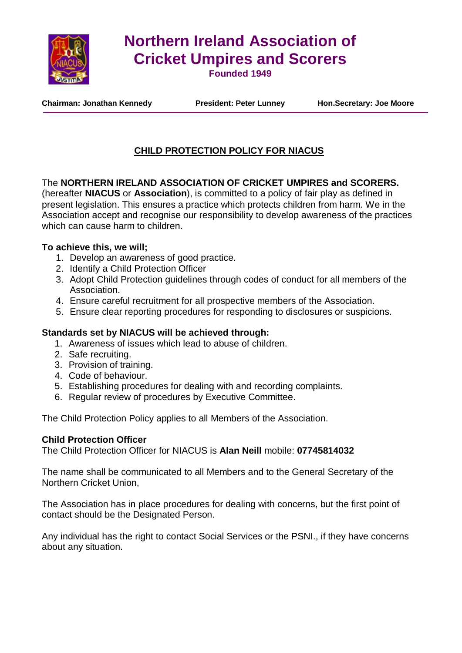

# **Northern Ireland Association of Cricket Umpires and Scorers**

**Founded 1949**

**Chairman: Jonathan Kennedy President: Peter Lunney Hon.Secretary: Joe Moore**

# **CHILD PROTECTION POLICY FOR NIACUS**

## The **NORTHERN IRELAND ASSOCIATION OF CRICKET UMPIRES and SCORERS.**

(hereafter **NIACUS** or **Association**), is committed to a policy of fair play as defined in present legislation. This ensures a practice which protects children from harm. We in the Association accept and recognise our responsibility to develop awareness of the practices which can cause harm to children.

#### **To achieve this, we will;**

- 1. Develop an awareness of good practice.
- 2. Identify a Child Protection Officer
- 3. Adopt Child Protection guidelines through codes of conduct for all members of the Association.
- 4. Ensure careful recruitment for all prospective members of the Association.
- 5. Ensure clear reporting procedures for responding to disclosures or suspicions.

#### **Standards set by NIACUS will be achieved through:**

- 1. Awareness of issues which lead to abuse of children.
- 2. Safe recruiting.
- 3. Provision of training.
- 4. Code of behaviour.
- 5. Establishing procedures for dealing with and recording complaints.
- 6. Regular review of procedures by Executive Committee.

The Child Protection Policy applies to all Members of the Association.

#### **Child Protection Officer**

The Child Protection Officer for NIACUS is **Alan Neill** mobile: **07745814032**

The name shall be communicated to all Members and to the General Secretary of the Northern Cricket Union,

The Association has in place procedures for dealing with concerns, but the first point of contact should be the Designated Person.

Any individual has the right to contact Social Services or the PSNI., if they have concerns about any situation.